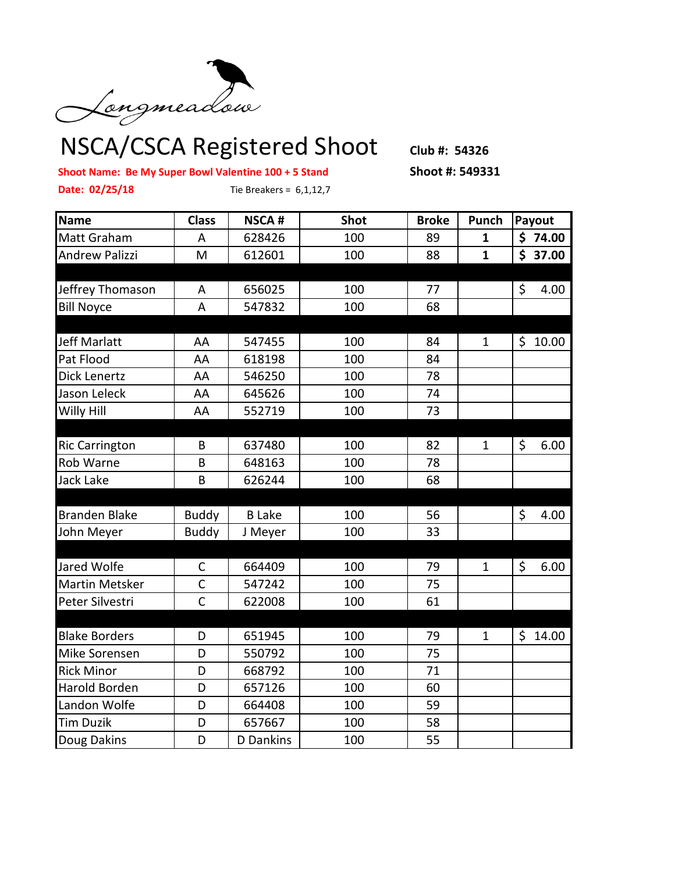

## NSCA/CSCA Registered Shoot **Club #: 54326**

**Shoot Name: Be My Super Bowl Valentine 100 + 5 Stand Shoot #: 549331 Date: 02/25/18** Tie Breakers = 6,1,12,7

| Name                  | <b>Class</b> | <b>NSCA#</b>     | <b>Shot</b> | <b>Broke</b> | Punch        | Payout     |
|-----------------------|--------------|------------------|-------------|--------------|--------------|------------|
| Matt Graham           | A            | 628426           | 100         | 89           | $\mathbf{1}$ | \$74.00    |
| <b>Andrew Palizzi</b> | M            | 612601           | 100         | 88           | $\mathbf{1}$ | \$37.00    |
|                       |              |                  |             |              |              |            |
| Jeffrey Thomason      | A            | 656025           | 100         | 77           |              | \$<br>4.00 |
| <b>Bill Noyce</b>     | A            | 547832           | 100         | 68           |              |            |
|                       |              |                  |             |              |              |            |
| Jeff Marlatt          | AA           | 547455           | 100         | 84           | $\mathbf{1}$ | \$10.00    |
| Pat Flood             | AA           | 618198           | 100         | 84           |              |            |
| Dick Lenertz          | AA           | 546250           | 100         | 78           |              |            |
| Jason Leleck          | AA           | 645626           | 100         | 74           |              |            |
| Willy Hill            | AA           | 552719           | 100         | 73           |              |            |
|                       |              |                  |             |              |              |            |
| <b>Ric Carrington</b> | B            | 637480           | 100         | 82           | $\mathbf{1}$ | \$<br>6.00 |
| Rob Warne             | B            | 648163           | 100         | 78           |              |            |
| Jack Lake             | B            | 626244           | 100         | 68           |              |            |
|                       |              |                  |             |              |              |            |
| <b>Branden Blake</b>  | <b>Buddy</b> | <b>B</b> Lake    | 100         | 56           |              | \$<br>4.00 |
| John Meyer            | <b>Buddy</b> | J Meyer          | 100         | 33           |              |            |
|                       |              |                  |             |              |              |            |
| Jared Wolfe           | C            | 664409           | 100         | 79           | $\mathbf{1}$ | \$<br>6.00 |
| <b>Martin Metsker</b> | $\mathsf{C}$ | 547242           | 100         | 75           |              |            |
| Peter Silvestri       | $\mathsf{C}$ | 622008           | 100         | 61           |              |            |
|                       |              |                  |             |              |              |            |
| <b>Blake Borders</b>  | D            | 651945           | 100         | 79           | 1            | \$14.00    |
| Mike Sorensen         | D            | 550792           | 100         | 75           |              |            |
| <b>Rick Minor</b>     | D            | 668792           | 100         | 71           |              |            |
| Harold Borden         | D            | 657126           | 100         | 60           |              |            |
| Landon Wolfe          | D            | 664408           | 100         | 59           |              |            |
| <b>Tim Duzik</b>      | D            | 657667           | 100         | 58           |              |            |
| Doug Dakins           | D            | <b>D</b> Dankins | 100         | 55           |              |            |